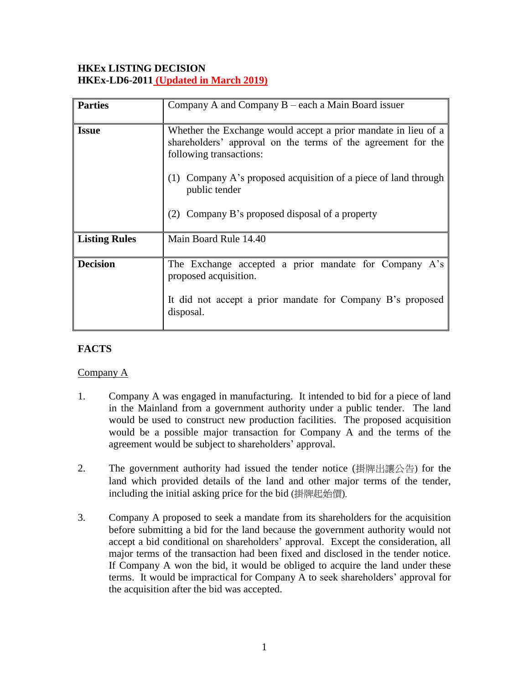## **HKEx LISTING DECISION HKEx-LD6-2011 (Updated in March 2019)**

| <b>Parties</b>       | Company A and Company $B$ – each a Main Board issuer                                                                                                                                                                                                                                                   |
|----------------------|--------------------------------------------------------------------------------------------------------------------------------------------------------------------------------------------------------------------------------------------------------------------------------------------------------|
| <b>Issue</b>         | Whether the Exchange would accept a prior mandate in lieu of a<br>shareholders' approval on the terms of the agreement for the<br>following transactions:<br>Company A's proposed acquisition of a piece of land through<br>(1)<br>public tender<br>Company B's proposed disposal of a property<br>(2) |
| <b>Listing Rules</b> | Main Board Rule 14.40                                                                                                                                                                                                                                                                                  |
| <b>Decision</b>      | The Exchange accepted a prior mandate for Company A's<br>proposed acquisition.<br>It did not accept a prior mandate for Company B's proposed<br>disposal.                                                                                                                                              |

# **FACTS**

### Company A

- 1. Company A was engaged in manufacturing. It intended to bid for a piece of land in the Mainland from a government authority under a public tender. The land would be used to construct new production facilities. The proposed acquisition would be a possible major transaction for Company A and the terms of the agreement would be subject to shareholders' approval.
- 2. The government authority had issued the tender notice (掛牌出讓公告) for the land which provided details of the land and other major terms of the tender, including the initial asking price for the bid (掛牌起始價).
- 3. Company A proposed to seek a mandate from its shareholders for the acquisition before submitting a bid for the land because the government authority would not accept a bid conditional on shareholders' approval. Except the consideration, all major terms of the transaction had been fixed and disclosed in the tender notice. If Company A won the bid, it would be obliged to acquire the land under these terms. It would be impractical for Company A to seek shareholders' approval for the acquisition after the bid was accepted.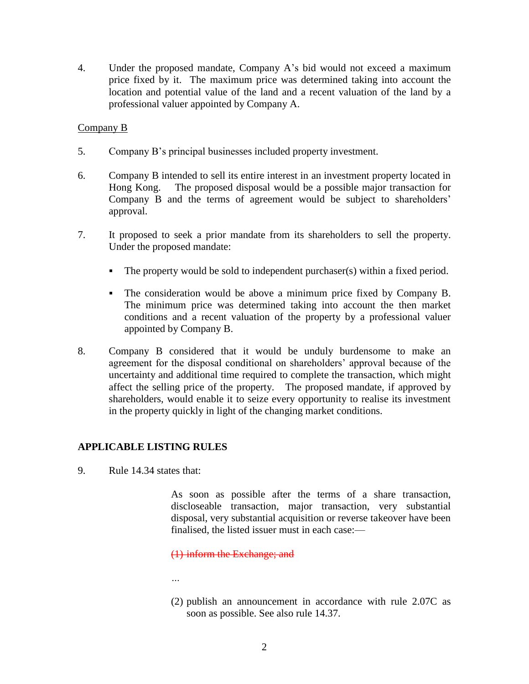4. Under the proposed mandate, Company A's bid would not exceed a maximum price fixed by it. The maximum price was determined taking into account the location and potential value of the land and a recent valuation of the land by a professional valuer appointed by Company A.

#### Company B

- 5. Company B's principal businesses included property investment.
- 6. Company B intended to sell its entire interest in an investment property located in Hong Kong. The proposed disposal would be a possible major transaction for Company B and the terms of agreement would be subject to shareholders' approval.
- 7. It proposed to seek a prior mandate from its shareholders to sell the property. Under the proposed mandate:
	- The property would be sold to independent purchaser(s) within a fixed period.
	- The consideration would be above a minimum price fixed by Company B. The minimum price was determined taking into account the then market conditions and a recent valuation of the property by a professional valuer appointed by Company B.
- 8. Company B considered that it would be unduly burdensome to make an agreement for the disposal conditional on shareholders' approval because of the uncertainty and additional time required to complete the transaction, which might affect the selling price of the property. The proposed mandate, if approved by shareholders, would enable it to seize every opportunity to realise its investment in the property quickly in light of the changing market conditions.

### **APPLICABLE LISTING RULES**

9. Rule 14.34 states that:

As soon as possible after the terms of a share transaction, discloseable transaction, major transaction, very substantial disposal, very substantial acquisition or reverse takeover have been finalised, the listed issuer must in each case:—

(1) inform the Exchange; and

- *…*
- (2) publish an announcement in accordance with rule 2.07C as soon as possible. See also rule 14.37.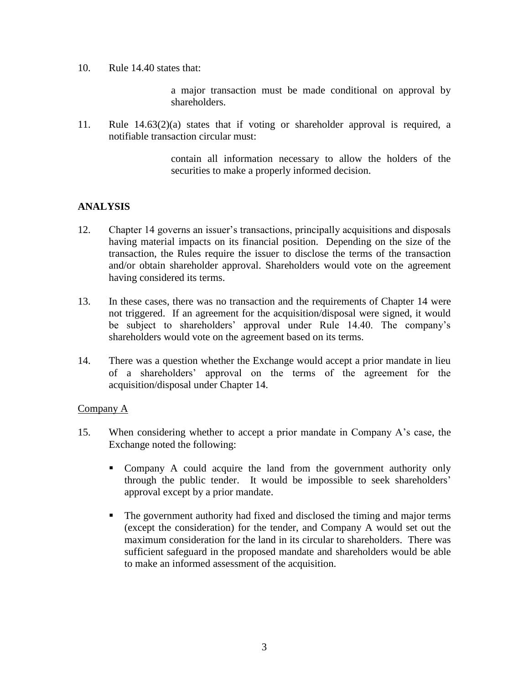10. Rule 14.40 states that:

a major transaction must be made conditional on approval by shareholders.

11. Rule 14.63(2)(a) states that if voting or shareholder approval is required, a notifiable transaction circular must:

> contain all information necessary to allow the holders of the securities to make a properly informed decision.

## **ANALYSIS**

- 12. Chapter 14 governs an issuer's transactions, principally acquisitions and disposals having material impacts on its financial position. Depending on the size of the transaction, the Rules require the issuer to disclose the terms of the transaction and/or obtain shareholder approval. Shareholders would vote on the agreement having considered its terms.
- 13. In these cases, there was no transaction and the requirements of Chapter 14 were not triggered. If an agreement for the acquisition/disposal were signed, it would be subject to shareholders' approval under Rule 14.40. The company's shareholders would vote on the agreement based on its terms.
- 14. There was a question whether the Exchange would accept a prior mandate in lieu of a shareholders' approval on the terms of the agreement for the acquisition/disposal under Chapter 14.

### Company A

- 15. When considering whether to accept a prior mandate in Company A's case, the Exchange noted the following:
	- Company A could acquire the land from the government authority only through the public tender. It would be impossible to seek shareholders' approval except by a prior mandate.
	- The government authority had fixed and disclosed the timing and major terms (except the consideration) for the tender, and Company A would set out the maximum consideration for the land in its circular to shareholders. There was sufficient safeguard in the proposed mandate and shareholders would be able to make an informed assessment of the acquisition.